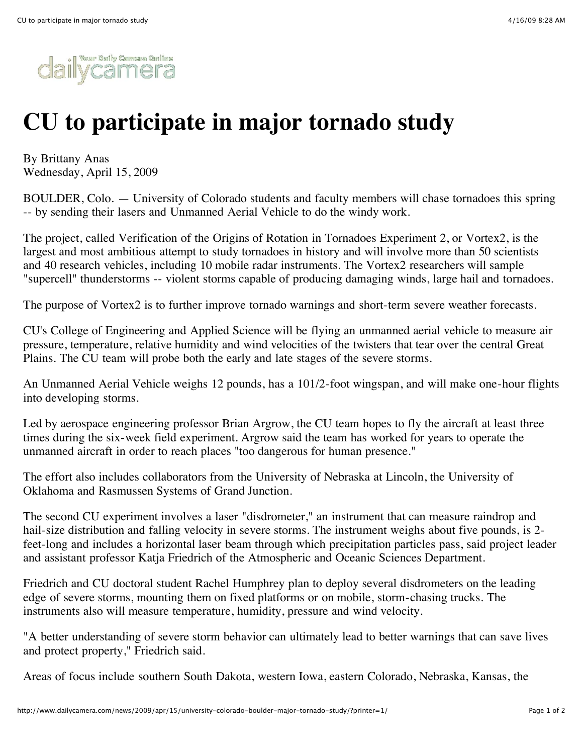

## **CU to participate in major tornado study**

By Brittany Anas Wednesday, April 15, 2009

BOULDER, Colo. — University of Colorado students and faculty members will chase tornadoes this spring -- by sending their lasers and Unmanned Aerial Vehicle to do the windy work.

The project, called Verification of the Origins of Rotation in Tornadoes Experiment 2, or Vortex2, is the largest and most ambitious attempt to study tornadoes in history and will involve more than 50 scientists and 40 research vehicles, including 10 mobile radar instruments. The Vortex2 researchers will sample "supercell" thunderstorms -- violent storms capable of producing damaging winds, large hail and tornadoes.

The purpose of Vortex2 is to further improve tornado warnings and short-term severe weather forecasts.

CU's College of Engineering and Applied Science will be flying an unmanned aerial vehicle to measure air pressure, temperature, relative humidity and wind velocities of the twisters that tear over the central Great Plains. The CU team will probe both the early and late stages of the severe storms.

An Unmanned Aerial Vehicle weighs 12 pounds, has a 101/2-foot wingspan, and will make one-hour flights into developing storms.

Led by aerospace engineering professor Brian Argrow, the CU team hopes to fly the aircraft at least three times during the six-week field experiment. Argrow said the team has worked for years to operate the unmanned aircraft in order to reach places "too dangerous for human presence."

The effort also includes collaborators from the University of Nebraska at Lincoln, the University of Oklahoma and Rasmussen Systems of Grand Junction.

The second CU experiment involves a laser "disdrometer," an instrument that can measure raindrop and hail-size distribution and falling velocity in severe storms. The instrument weighs about five pounds, is 2 feet-long and includes a horizontal laser beam through which precipitation particles pass, said project leader and assistant professor Katja Friedrich of the Atmospheric and Oceanic Sciences Department.

Friedrich and CU doctoral student Rachel Humphrey plan to deploy several disdrometers on the leading edge of severe storms, mounting them on fixed platforms or on mobile, storm-chasing trucks. The instruments also will measure temperature, humidity, pressure and wind velocity.

"A better understanding of severe storm behavior can ultimately lead to better warnings that can save lives and protect property," Friedrich said.

Areas of focus include southern South Dakota, western Iowa, eastern Colorado, Nebraska, Kansas, the